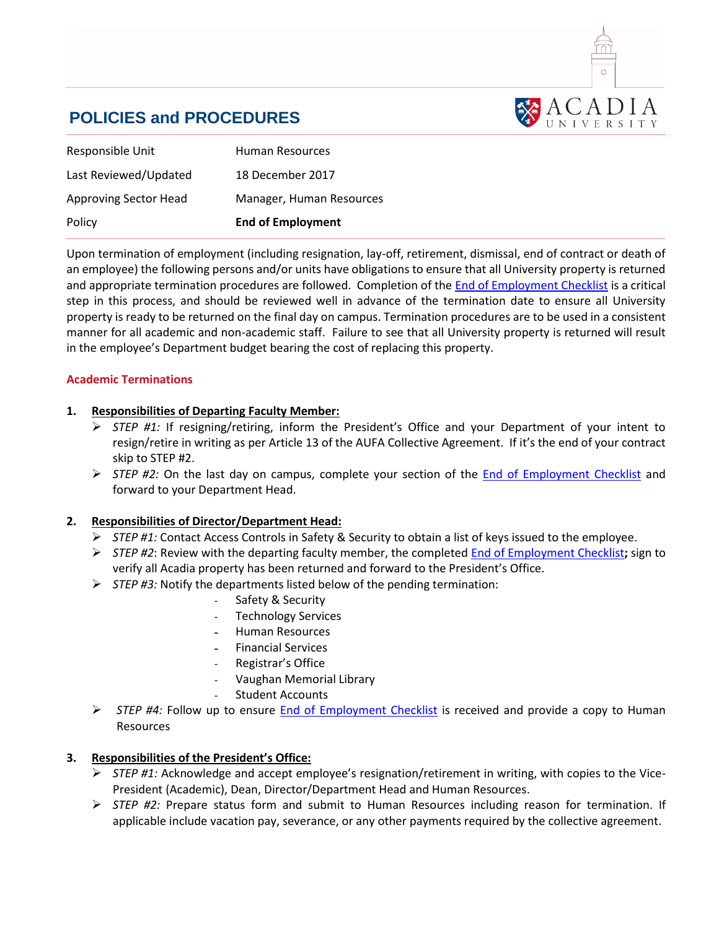

# **POLICIES and PROCEDURES**

| Human Resources          |
|--------------------------|
| 18 December 2017         |
| Manager, Human Resources |
| <b>End of Employment</b> |
|                          |

Upon termination of employment (including resignation, lay-off, retirement, dismissal, end of contract or death of an employee) the following persons and/or units have obligations to ensure that all University property is returned and appropriate termination procedures are followed. Completion of the End of [Employment Checklist](https://hr.acadiau.ca/tl_files/sites/hr/HR%20FORMS/End%20of%20Employment%20Checklist.docx) is a critical step in this process, and should be reviewed well in advance of the termination date to ensure all University property is ready to be returned on the final day on campus. Termination procedures are to be used in a consistent manner for all academic and non-academic staff. Failure to see that all University property is returned will result in the employee's Department budget bearing the cost of replacing this property.

### **Academic Terminations**

## **1. Responsibilities of Departing Faculty Member:**

- *STEP #1:* If resigning/retiring, inform the President's Office and your Department of your intent to resign/retire in writing as per Article 13 of the AUFA Collective Agreement. If it's the end of your contract skip to STEP #2.
- *STEP #2:* On the last day on campus, complete your section of the [End of Employment Checklist](https://hr.acadiau.ca/tl_files/sites/hr/HR%20FORMS/End%20of%20Employment%20Checklist.docx) and forward to your Department Head.

### **2. Responsibilities of Director/Department Head:**

- *STEP #1:* Contact Access Controls in Safety & Security to obtain a list of keys issued to the employee.
- *STEP #2*: Review with the departing faculty member, the completed [End of Employment Checklist](https://hr.acadiau.ca/tl_files/sites/hr/HR%20FORMS/End%20of%20Employment%20Checklist.docx)**;** sign to verify all Acadia property has been returned and forward to the President's Office.
- *STEP #3:* Notify the departments listed below of the pending termination:
	- Safety & Security
	- Technology Services
	- Human Resources
	- Financial Services
	- Registrar's Office
	- Vaughan Memorial Library
	- Student Accounts
- *STEP #4:* Follow up to ensure [End of Employment Checklist](https://hr.acadiau.ca/tl_files/sites/hr/HR%20FORMS/End%20of%20Employment%20Checklist.docx) is received and provide a copy to Human Resources

# **3. Responsibilities of the President's Office:**

- *STEP #1:* Acknowledge and accept employee's resignation/retirement in writing, with copies to the Vice-President (Academic), Dean, Director/Department Head and Human Resources.
- *STEP #2:* Prepare status form and submit to Human Resources including reason for termination. If applicable include vacation pay, severance, or any other payments required by the collective agreement.